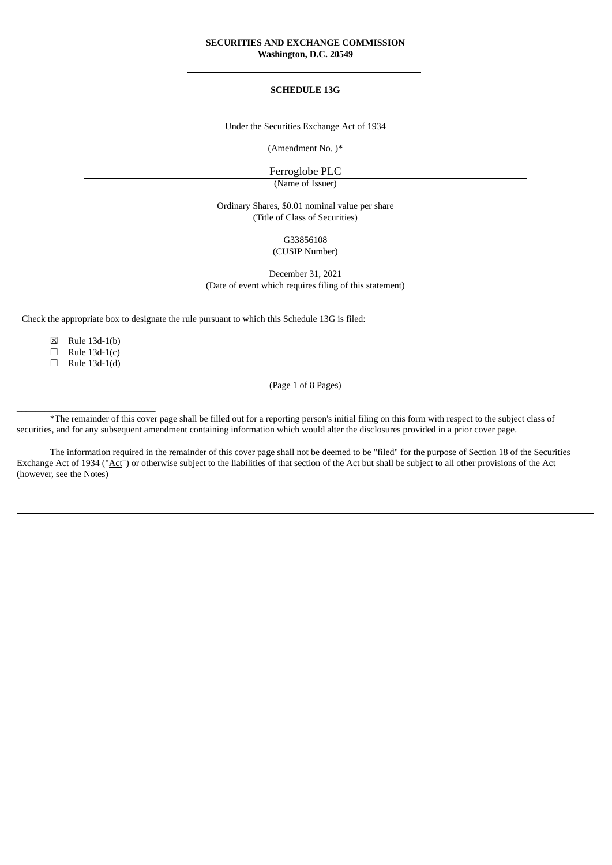## **SECURITIES AND EXCHANGE COMMISSION Washington, D.C. 20549**

## **SCHEDULE 13G**

Under the Securities Exchange Act of 1934

(Amendment No. )\*

Ferroglobe PLC

(Name of Issuer)

Ordinary Shares, \$0.01 nominal value per share

(Title of Class of Securities)

G33856108

(CUSIP Number)

December 31, 2021 (Date of event which requires filing of this statement)

Check the appropriate box to designate the rule pursuant to which this Schedule 13G is filed:

☒ Rule 13d-1(b)

 $\Box$  Rule 13d-1(c)

 $\Box$  Rule 13d-1(d)

\_\_\_\_\_\_\_\_\_\_\_\_\_\_\_\_\_\_\_\_\_\_\_\_\_\_\_\_\_\_

(Page 1 of 8 Pages)

\*The remainder of this cover page shall be filled out for a reporting person's initial filing on this form with respect to the subject class of securities, and for any subsequent amendment containing information which would alter the disclosures provided in a prior cover page.

The information required in the remainder of this cover page shall not be deemed to be "filed" for the purpose of Section 18 of the Securities Exchange Act of 1934 ("Act") or otherwise subject to the liabilities of that section of the Act but shall be subject to all other provisions of the Act (however, see the Notes)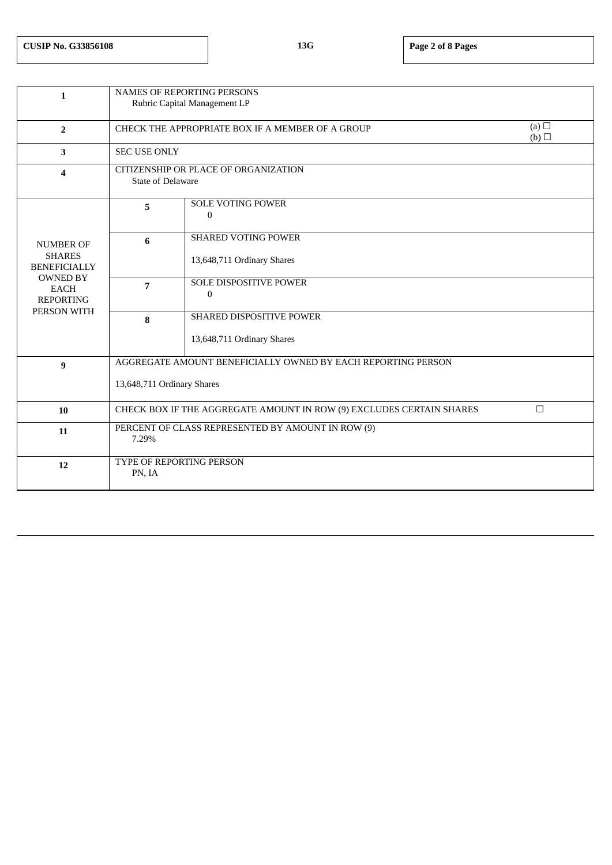| $\mathbf{1}$                                                                                                                  | NAMES OF REPORTING PERSONS<br>Rubric Capital Management LP                     |                                                          |  |  |  |  |
|-------------------------------------------------------------------------------------------------------------------------------|--------------------------------------------------------------------------------|----------------------------------------------------------|--|--|--|--|
|                                                                                                                               |                                                                                |                                                          |  |  |  |  |
| $\overline{2}$                                                                                                                | CHECK THE APPROPRIATE BOX IF A MEMBER OF A GROUP                               | (a) $\Box$<br>(b)                                        |  |  |  |  |
| 3                                                                                                                             | <b>SEC USE ONLY</b>                                                            |                                                          |  |  |  |  |
| 4                                                                                                                             | CITIZENSHIP OR PLACE OF ORGANIZATION<br>State of Delaware                      |                                                          |  |  |  |  |
| <b>NUMBER OF</b><br><b>SHARES</b><br><b>BENEFICIALLY</b><br><b>OWNED BY</b><br><b>EACH</b><br><b>REPORTING</b><br>PERSON WITH | 5                                                                              | <b>SOLE VOTING POWER</b><br>$\bf{0}$                     |  |  |  |  |
|                                                                                                                               | 6                                                                              | <b>SHARED VOTING POWER</b><br>13,648,711 Ordinary Shares |  |  |  |  |
|                                                                                                                               |                                                                                |                                                          |  |  |  |  |
|                                                                                                                               | $\overline{7}$                                                                 | <b>SOLE DISPOSITIVE POWER</b><br>$\Omega$                |  |  |  |  |
|                                                                                                                               | 8                                                                              | SHARED DISPOSITIVE POWER                                 |  |  |  |  |
|                                                                                                                               |                                                                                | 13,648,711 Ordinary Shares                               |  |  |  |  |
| $\boldsymbol{9}$                                                                                                              | AGGREGATE AMOUNT BENEFICIALLY OWNED BY EACH REPORTING PERSON                   |                                                          |  |  |  |  |
|                                                                                                                               | 13,648,711 Ordinary Shares                                                     |                                                          |  |  |  |  |
| 10                                                                                                                            | $\Box$<br>CHECK BOX IF THE AGGREGATE AMOUNT IN ROW (9) EXCLUDES CERTAIN SHARES |                                                          |  |  |  |  |
| 11                                                                                                                            | PERCENT OF CLASS REPRESENTED BY AMOUNT IN ROW (9)<br>7.29%                     |                                                          |  |  |  |  |
| 12                                                                                                                            | TYPE OF REPORTING PERSON<br>PN, IA                                             |                                                          |  |  |  |  |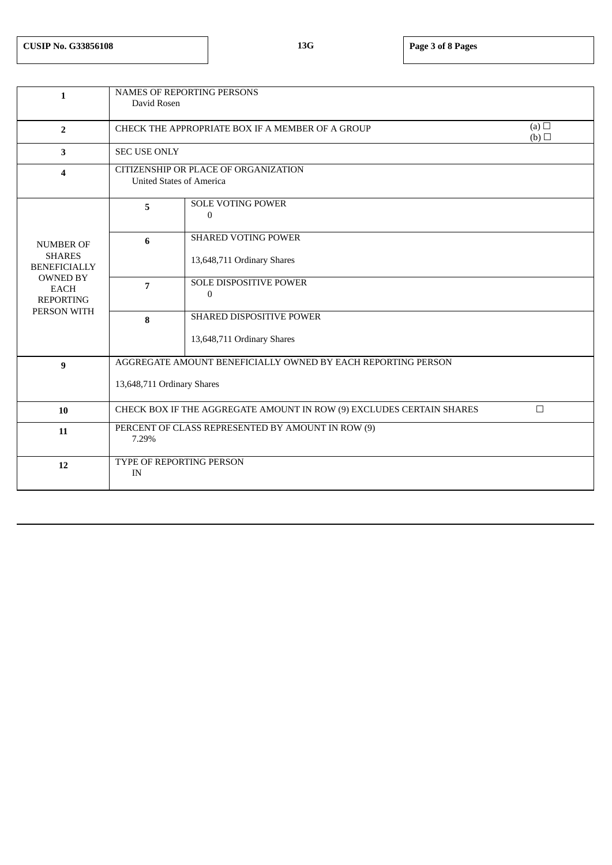| $\mathbf{1}$                                                                                                                  | <b>NAMES OF REPORTING PERSONS</b>                                                          |                                                          |  |  |  |  |
|-------------------------------------------------------------------------------------------------------------------------------|--------------------------------------------------------------------------------------------|----------------------------------------------------------|--|--|--|--|
|                                                                                                                               | David Rosen                                                                                |                                                          |  |  |  |  |
| $\overline{2}$                                                                                                                | CHECK THE APPROPRIATE BOX IF A MEMBER OF A GROUP                                           | (a) $\Box$<br>(b)                                        |  |  |  |  |
| 3                                                                                                                             | <b>SEC USE ONLY</b>                                                                        |                                                          |  |  |  |  |
| $\overline{\mathbf{4}}$                                                                                                       | CITIZENSHIP OR PLACE OF ORGANIZATION<br><b>United States of America</b>                    |                                                          |  |  |  |  |
| <b>NUMBER OF</b><br><b>SHARES</b><br><b>BENEFICIALLY</b><br><b>OWNED BY</b><br><b>EACH</b><br><b>REPORTING</b><br>PERSON WITH | 5                                                                                          | <b>SOLE VOTING POWER</b><br>$\boldsymbol{0}$             |  |  |  |  |
|                                                                                                                               | 6                                                                                          | <b>SHARED VOTING POWER</b><br>13,648,711 Ordinary Shares |  |  |  |  |
|                                                                                                                               | $\overline{7}$                                                                             | SOLE DISPOSITIVE POWER<br>$\Omega$                       |  |  |  |  |
|                                                                                                                               | 8                                                                                          | SHARED DISPOSITIVE POWER<br>13,648,711 Ordinary Shares   |  |  |  |  |
| 9                                                                                                                             | AGGREGATE AMOUNT BENEFICIALLY OWNED BY EACH REPORTING PERSON<br>13,648,711 Ordinary Shares |                                                          |  |  |  |  |
|                                                                                                                               |                                                                                            |                                                          |  |  |  |  |
| 10                                                                                                                            | $\Box$<br>CHECK BOX IF THE AGGREGATE AMOUNT IN ROW (9) EXCLUDES CERTAIN SHARES             |                                                          |  |  |  |  |
| 11                                                                                                                            | PERCENT OF CLASS REPRESENTED BY AMOUNT IN ROW (9)<br>7.29%                                 |                                                          |  |  |  |  |
| 12                                                                                                                            | TYPE OF REPORTING PERSON<br>IN                                                             |                                                          |  |  |  |  |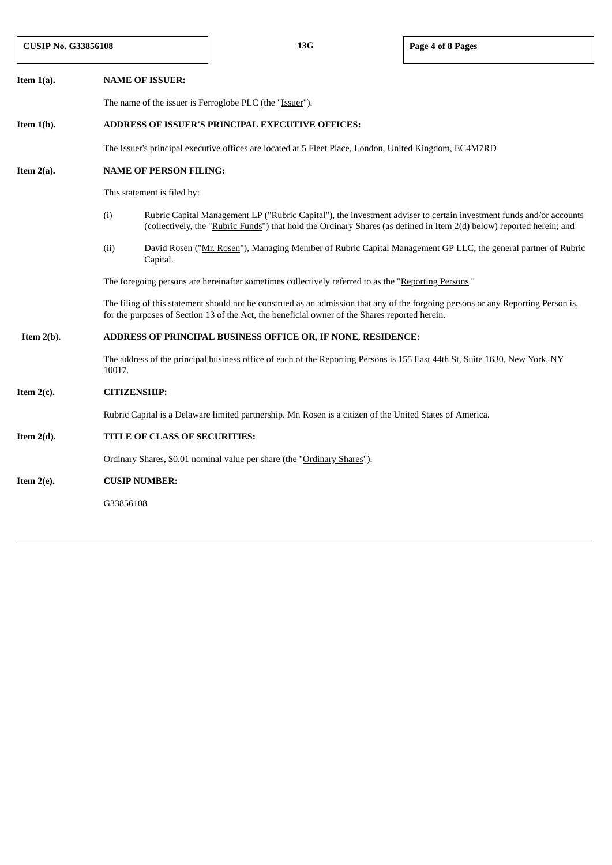| <b>CUSIP No. G33856108</b> |                     |                                                                                                                                                                                                                                     | 13G                                                                                                                                                                                                                                          | Page 4 of 8 Pages |  |  |  |  |
|----------------------------|---------------------|-------------------------------------------------------------------------------------------------------------------------------------------------------------------------------------------------------------------------------------|----------------------------------------------------------------------------------------------------------------------------------------------------------------------------------------------------------------------------------------------|-------------------|--|--|--|--|
| Item $1(a)$ .              |                     | <b>NAME OF ISSUER:</b>                                                                                                                                                                                                              |                                                                                                                                                                                                                                              |                   |  |  |  |  |
|                            |                     | The name of the issuer is Ferroglobe PLC (the "Issuer").                                                                                                                                                                            |                                                                                                                                                                                                                                              |                   |  |  |  |  |
| Item $1(b)$ .              |                     | ADDRESS OF ISSUER'S PRINCIPAL EXECUTIVE OFFICES:                                                                                                                                                                                    |                                                                                                                                                                                                                                              |                   |  |  |  |  |
|                            |                     | The Issuer's principal executive offices are located at 5 Fleet Place, London, United Kingdom, EC4M7RD                                                                                                                              |                                                                                                                                                                                                                                              |                   |  |  |  |  |
| Item $2(a)$ .              |                     | <b>NAME OF PERSON FILING:</b>                                                                                                                                                                                                       |                                                                                                                                                                                                                                              |                   |  |  |  |  |
|                            |                     | This statement is filed by:                                                                                                                                                                                                         |                                                                                                                                                                                                                                              |                   |  |  |  |  |
|                            | (i)                 |                                                                                                                                                                                                                                     | Rubric Capital Management LP ("Rubric Capital"), the investment adviser to certain investment funds and/or accounts<br>(collectively, the "Rubric Funds") that hold the Ordinary Shares (as defined in Item 2(d) below) reported herein; and |                   |  |  |  |  |
|                            | (ii)                | David Rosen ("Mr. Rosen"), Managing Member of Rubric Capital Management GP LLC, the general partner of Rubric<br>Capital.                                                                                                           |                                                                                                                                                                                                                                              |                   |  |  |  |  |
|                            |                     | The foregoing persons are hereinafter sometimes collectively referred to as the "Reporting Persons."                                                                                                                                |                                                                                                                                                                                                                                              |                   |  |  |  |  |
|                            |                     | The filing of this statement should not be construed as an admission that any of the forgoing persons or any Reporting Person is,<br>for the purposes of Section 13 of the Act, the beneficial owner of the Shares reported herein. |                                                                                                                                                                                                                                              |                   |  |  |  |  |
| Item $2(b)$ .              |                     | ADDRESS OF PRINCIPAL BUSINESS OFFICE OR, IF NONE, RESIDENCE:                                                                                                                                                                        |                                                                                                                                                                                                                                              |                   |  |  |  |  |
|                            |                     | The address of the principal business office of each of the Reporting Persons is 155 East 44th St, Suite 1630, New York, NY<br>10017.                                                                                               |                                                                                                                                                                                                                                              |                   |  |  |  |  |
| Item $2(c)$ .              | <b>CITIZENSHIP:</b> |                                                                                                                                                                                                                                     |                                                                                                                                                                                                                                              |                   |  |  |  |  |
|                            |                     | Rubric Capital is a Delaware limited partnership. Mr. Rosen is a citizen of the United States of America.                                                                                                                           |                                                                                                                                                                                                                                              |                   |  |  |  |  |
| Item $2(d)$ .              |                     | TITLE OF CLASS OF SECURITIES:                                                                                                                                                                                                       |                                                                                                                                                                                                                                              |                   |  |  |  |  |
|                            |                     | Ordinary Shares, \$0.01 nominal value per share (the "Ordinary Shares").                                                                                                                                                            |                                                                                                                                                                                                                                              |                   |  |  |  |  |
| Item $2(e)$ .              |                     | <b>CUSIP NUMBER:</b>                                                                                                                                                                                                                |                                                                                                                                                                                                                                              |                   |  |  |  |  |
|                            |                     | G33856108                                                                                                                                                                                                                           |                                                                                                                                                                                                                                              |                   |  |  |  |  |
|                            |                     |                                                                                                                                                                                                                                     |                                                                                                                                                                                                                                              |                   |  |  |  |  |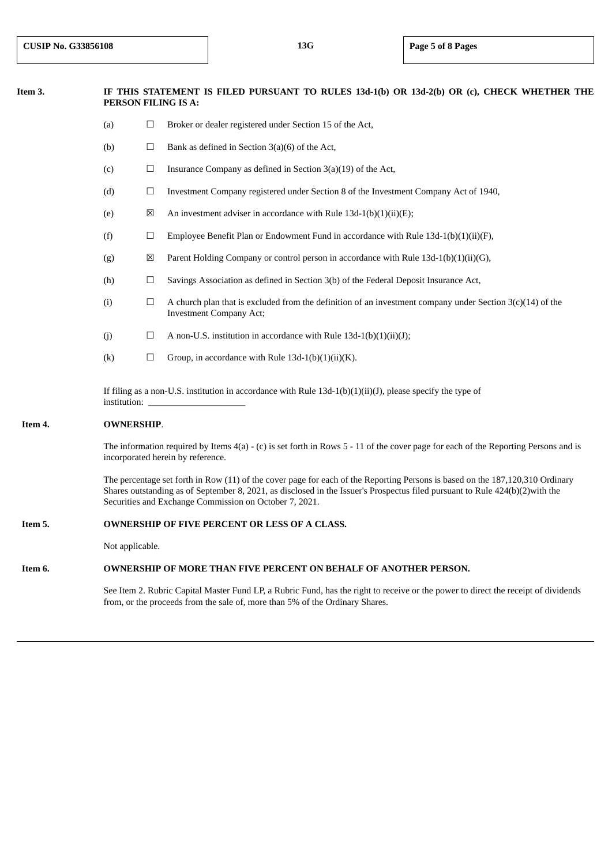# Item 3. IF THIS STATEMENT IS FILED PURSUANT TO RULES 13d-1(b) OR 13d-2(b) OR (c), CHECK WHETHER THE **PERSON FILING IS A:**

- (a) ☐ Broker or dealer registered under Section 15 of the Act,
- (b)  $\Box$  Bank as defined in Section 3(a)(6) of the Act,
- (c)  $\Box$  Insurance Company as defined in Section 3(a)(19) of the Act,
- (d) Investment Company registered under Section 8 of the Investment Company Act of 1940,
- (e)  $\boxtimes$  An investment adviser in accordance with Rule 13d-1(b)(1)(ii)(E);
- (f)  $□$  Employee Benefit Plan or Endowment Fund in accordance with Rule 13d-1(b)(1)(ii)(F),
- (g)  $\boxtimes$  Parent Holding Company or control person in accordance with Rule 13d-1(b)(1)(ii)(G),
- (h)  $\Box$  Savings Association as defined in Section 3(b) of the Federal Deposit Insurance Act,
- (i)  $\Box$  A church plan that is excluded from the definition of an investment company under Section 3(c)(14) of the Investment Company Act;
- (j)  $\Box$  A non-U.S. institution in accordance with Rule 13d-1(b)(1)(ii)(J);
- (k)  $\Box$  Group, in accordance with Rule 13d-1(b)(1)(ii)(K).

If filing as a non-U.S. institution in accordance with Rule 13d-1(b)(1)(ii)(J), please specify the type of institution:

## **Item 4. OWNERSHIP**.

The information required by Items 4(a) - (c) is set forth in Rows 5 - 11 of the cover page for each of the Reporting Persons and is incorporated herein by reference.

The percentage set forth in Row (11) of the cover page for each of the Reporting Persons is based on the 187,120,310 Ordinary Shares outstanding as of September 8, 2021, as disclosed in the Issuer's Prospectus filed pursuant to Rule 424(b)(2)with the Securities and Exchange Commission on October 7, 2021.

#### **Item 5. OWNERSHIP OF FIVE PERCENT OR LESS OF A CLASS.**

Not applicable.

## **Item 6. OWNERSHIP OF MORE THAN FIVE PERCENT ON BEHALF OF ANOTHER PERSON.**

See Item 2. Rubric Capital Master Fund LP, a Rubric Fund, has the right to receive or the power to direct the receipt of dividends from, or the proceeds from the sale of, more than 5% of the Ordinary Shares.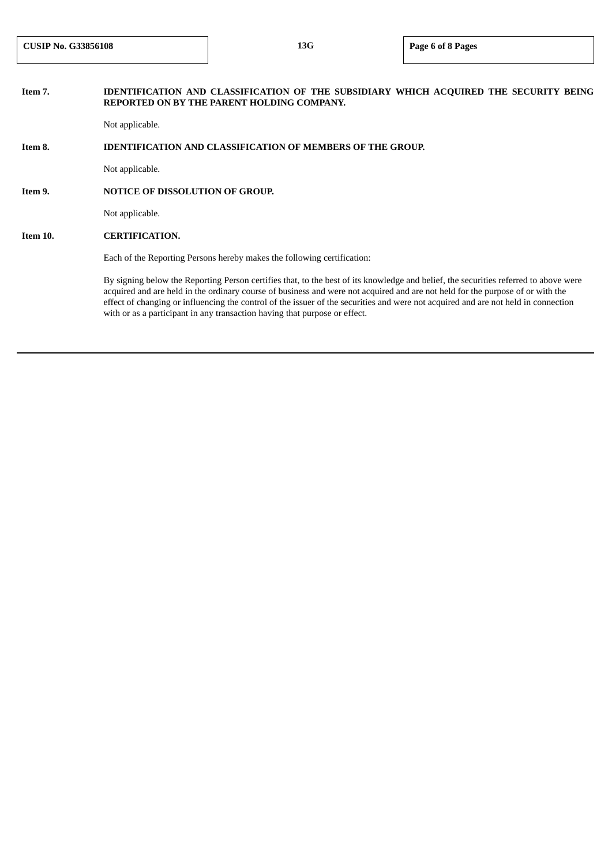# **Item 7. IDENTIFICATION AND CLASSIFICATION OF THE SUBSIDIARY WHICH ACQUIRED THE SECURITY BEING REPORTED ON BY THE PARENT HOLDING COMPANY.**

Not applicable.

#### **Item 8. IDENTIFICATION AND CLASSIFICATION OF MEMBERS OF THE GROUP.**

Not applicable.

## **Item 9. NOTICE OF DISSOLUTION OF GROUP.**

Not applicable.

## **Item 10. CERTIFICATION.**

Each of the Reporting Persons hereby makes the following certification:

By signing below the Reporting Person certifies that, to the best of its knowledge and belief, the securities referred to above were acquired and are held in the ordinary course of business and were not acquired and are not held for the purpose of or with the effect of changing or influencing the control of the issuer of the securities and were not acquired and are not held in connection with or as a participant in any transaction having that purpose or effect.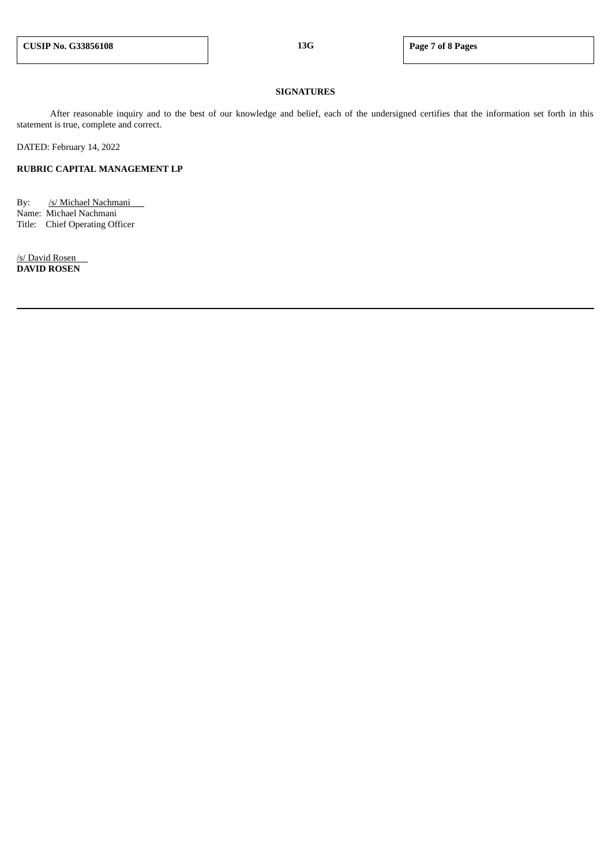## **SIGNATURES**

After reasonable inquiry and to the best of our knowledge and belief, each of the undersigned certifies that the information set forth in this statement is true, complete and correct.

DATED: February 14, 2022

## **RUBRIC CAPITAL MANAGEMENT LP**

By: /s/ Michael Nachmani Name: Michael Nachmani Title: Chief Operating Officer

/s/ David Rosen **DAVID ROSEN**